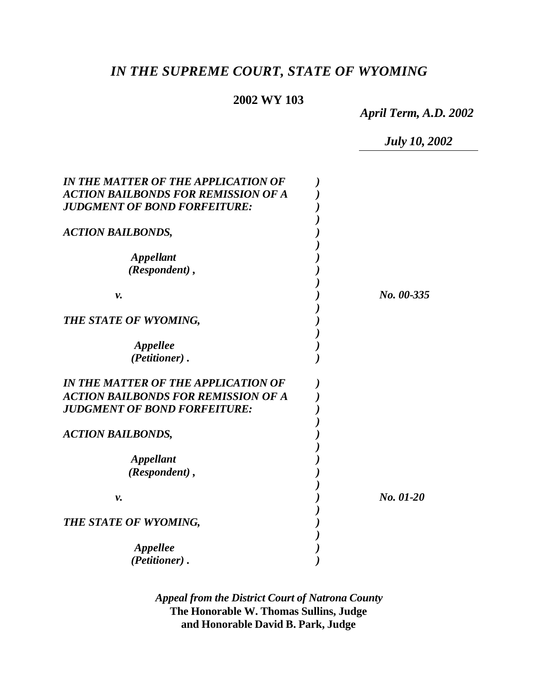# *IN THE SUPREME COURT, STATE OF WYOMING*

# **2002 WY 103**

*April Term, A.D. 2002*

*July 10, 2002*

| IN THE MATTER OF THE APPLICATION OF<br><b>ACTION BAILBONDS FOR REMISSION OF A</b><br><b>JUDGMENT OF BOND FORFEITURE:</b> |            |
|--------------------------------------------------------------------------------------------------------------------------|------------|
| <b>ACTION BAILBONDS,</b>                                                                                                 |            |
| <b>Appellant</b><br>(Respondent),                                                                                        |            |
| ν.                                                                                                                       | No. 00-335 |
| THE STATE OF WYOMING,                                                                                                    |            |
| Appellee<br>(Petitioner).                                                                                                |            |
| IN THE MATTER OF THE APPLICATION OF                                                                                      |            |
| <b>ACTION BAILBONDS FOR REMISSION OF A</b><br><b>JUDGMENT OF BOND FORFEITURE:</b>                                        |            |
| <b>ACTION BAILBONDS,</b>                                                                                                 |            |
| <b>Appellant</b><br>(Respondent),                                                                                        |            |
| ν.                                                                                                                       | No. 01-20  |
| THE STATE OF WYOMING,                                                                                                    |            |
| Appellee<br>(Petitioner).                                                                                                |            |

*Appeal from the District Court of Natrona County* **The Honorable W. Thomas Sullins, Judge and Honorable David B. Park, Judge**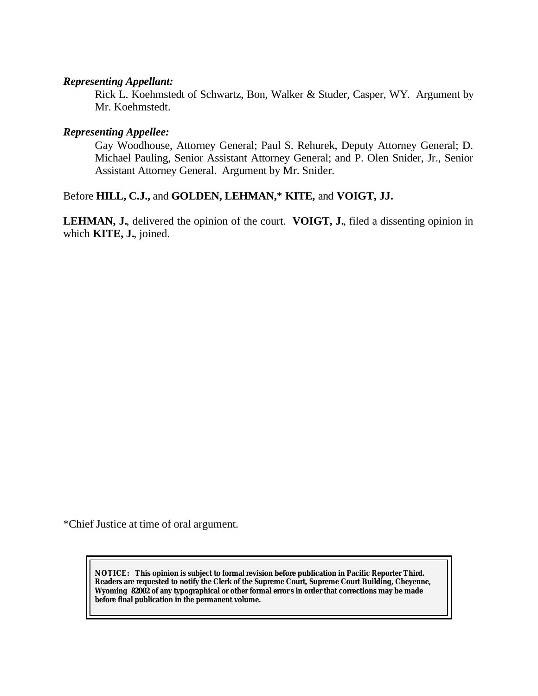## *Representing Appellant:*

Rick L. Koehmstedt of Schwartz, Bon, Walker & Studer, Casper, WY. Argument by Mr. Koehmstedt.

## *Representing Appellee:*

Gay Woodhouse, Attorney General; Paul S. Rehurek, Deputy Attorney General; D. Michael Pauling, Senior Assistant Attorney General; and P. Olen Snider, Jr., Senior Assistant Attorney General. Argument by Mr. Snider.

## Before **HILL, C.J.,** and **GOLDEN, LEHMAN,**\* **KITE,** and **VOIGT, JJ.**

**LEHMAN, J.**, delivered the opinion of the court. **VOIGT, J.**, filed a dissenting opinion in which **KITE, J.**, joined.

\*Chief Justice at time of oral argument.

**NOTICE:** *This opinion is subject to formal revision before publication in Pacific Reporter Third. Readers are requested to notify the Clerk of the Supreme Court, Supreme Court Building, Cheyenne, Wyoming 82002 of any typographical or other formal error s in order that corrections may be made before final publication in the permanent volume.*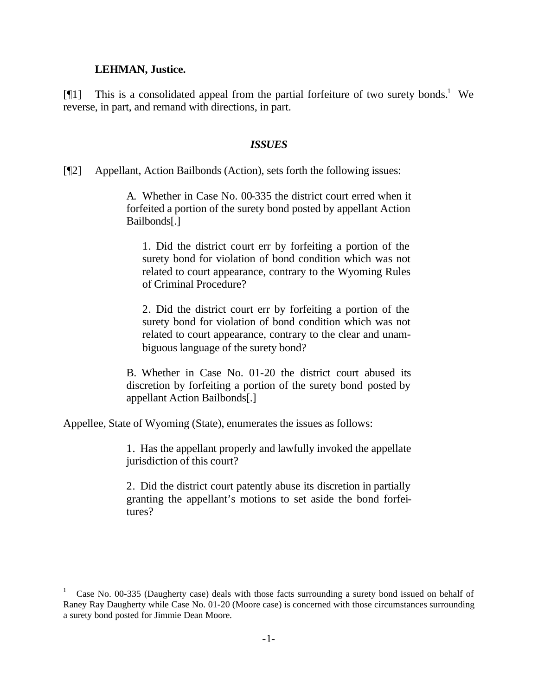#### **LEHMAN, Justice.**

l

[ $[$ [1] This is a consolidated appeal from the partial forfeiture of two surety bonds.<sup>1</sup> We reverse, in part, and remand with directions, in part.

### *ISSUES*

[¶2] Appellant, Action Bailbonds (Action), sets forth the following issues:

A. Whether in Case No. 00-335 the district court erred when it forfeited a portion of the surety bond posted by appellant Action Bailbonds[.]

1. Did the district court err by forfeiting a portion of the surety bond for violation of bond condition which was not related to court appearance, contrary to the Wyoming Rules of Criminal Procedure?

2. Did the district court err by forfeiting a portion of the surety bond for violation of bond condition which was not related to court appearance, contrary to the clear and unambiguous language of the surety bond?

B. Whether in Case No. 01-20 the district court abused its discretion by forfeiting a portion of the surety bond posted by appellant Action Bailbonds[.]

Appellee, State of Wyoming (State), enumerates the issues as follows:

1. Has the appellant properly and lawfully invoked the appellate jurisdiction of this court?

2. Did the district court patently abuse its discretion in partially granting the appellant's motions to set aside the bond forfeitures?

<sup>1</sup> Case No. 00-335 (Daugherty case) deals with those facts surrounding a surety bond issued on behalf of Raney Ray Daugherty while Case No. 01-20 (Moore case) is concerned with those circumstances surrounding a surety bond posted for Jimmie Dean Moore.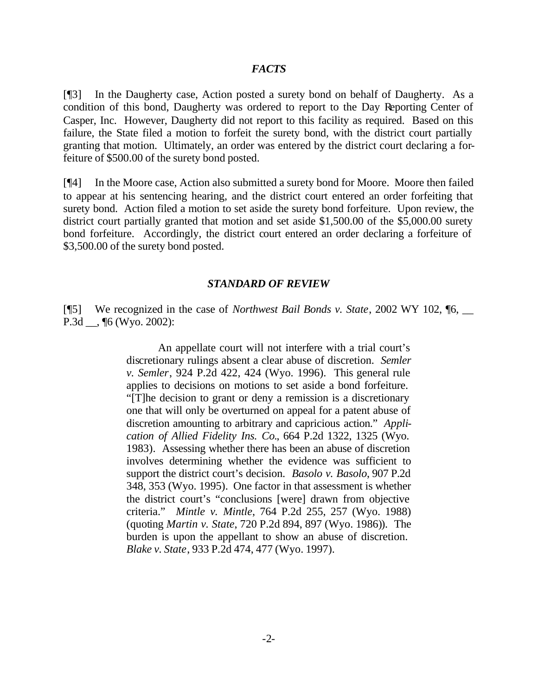## *FACTS*

[¶3] In the Daugherty case, Action posted a surety bond on behalf of Daugherty. As a condition of this bond, Daugherty was ordered to report to the Day Reporting Center of Casper, Inc. However, Daugherty did not report to this facility as required. Based on this failure, the State filed a motion to forfeit the surety bond, with the district court partially granting that motion. Ultimately, an order was entered by the district court declaring a forfeiture of \$500.00 of the surety bond posted.

[¶4] In the Moore case, Action also submitted a surety bond for Moore. Moore then failed to appear at his sentencing hearing, and the district court entered an order forfeiting that surety bond. Action filed a motion to set aside the surety bond forfeiture. Upon review, the district court partially granted that motion and set aside \$1,500.00 of the \$5,000.00 surety bond forfeiture. Accordingly, the district court entered an order declaring a forfeiture of \$3,500.00 of the surety bond posted.

#### *STANDARD OF REVIEW*

[¶5] We recognized in the case of *Northwest Bail Bonds v. State*, 2002 WY 102, ¶6, \_\_ P.3d \_\_, ¶6 (Wyo. 2002):

> An appellate court will not interfere with a trial court's discretionary rulings absent a clear abuse of discretion. *Semler v. Semler*, 924 P.2d 422, 424 (Wyo. 1996). This general rule applies to decisions on motions to set aside a bond forfeiture. "[T]he decision to grant or deny a remission is a discretionary one that will only be overturned on appeal for a patent abuse of discretion amounting to arbitrary and capricious action." *Application of Allied Fidelity Ins. Co.*, 664 P.2d 1322, 1325 (Wyo. 1983). Assessing whether there has been an abuse of discretion involves determining whether the evidence was sufficient to support the district court's decision. *Basolo v. Basolo*, 907 P.2d 348, 353 (Wyo. 1995). One factor in that assessment is whether the district court's "conclusions [were] drawn from objective criteria." *Mintle v. Mintle*, 764 P.2d 255, 257 (Wyo. 1988) (quoting *Martin v. State*, 720 P.2d 894, 897 (Wyo. 1986)). The burden is upon the appellant to show an abuse of discretion. *Blake v. State*, 933 P.2d 474, 477 (Wyo. 1997).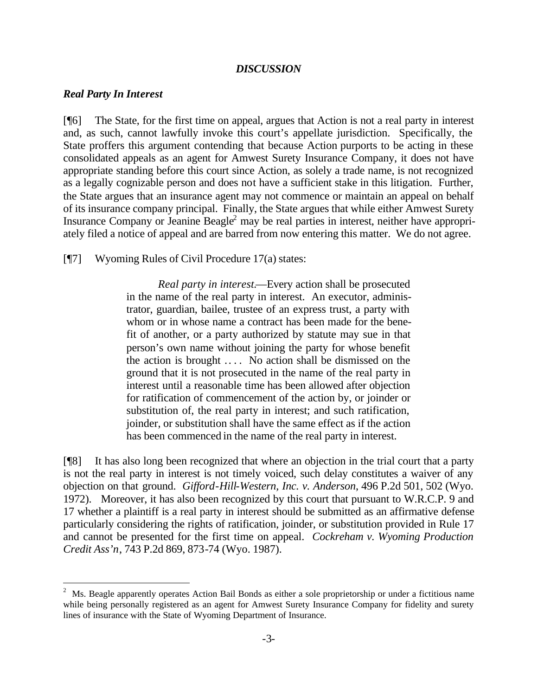## *DISCUSSION*

#### *Real Party In Interest*

l

[¶6] The State, for the first time on appeal, argues that Action is not a real party in interest and, as such, cannot lawfully invoke this court's appellate jurisdiction. Specifically, the State proffers this argument contending that because Action purports to be acting in these consolidated appeals as an agent for Amwest Surety Insurance Company, it does not have appropriate standing before this court since Action, as solely a trade name, is not recognized as a legally cognizable person and does not have a sufficient stake in this litigation. Further, the State argues that an insurance agent may not commence or maintain an appeal on behalf of its insurance company principal. Finally, the State argues that while either Amwest Surety Insurance Company or Jeanine Beagle<sup>2</sup> may be real parties in interest, neither have appropriately filed a notice of appeal and are barred from now entering this matter. We do not agree.

[¶7] Wyoming Rules of Civil Procedure 17(a) states:

*Real party in interest.*—Every action shall be prosecuted in the name of the real party in interest. An executor, administrator, guardian, bailee, trustee of an express trust, a party with whom or in whose name a contract has been made for the benefit of another, or a party authorized by statute may sue in that person's own name without joining the party for whose benefit the action is brought .. . . No action shall be dismissed on the ground that it is not prosecuted in the name of the real party in interest until a reasonable time has been allowed after objection for ratification of commencement of the action by, or joinder or substitution of, the real party in interest; and such ratification, joinder, or substitution shall have the same effect as if the action has been commenced in the name of the real party in interest.

[¶8] It has also long been recognized that where an objection in the trial court that a party is not the real party in interest is not timely voiced, such delay constitutes a waiver of any objection on that ground. *Gifford-Hill-Western, Inc. v. Anderson*, 496 P.2d 501, 502 (Wyo. 1972). Moreover, it has also been recognized by this court that pursuant to W.R.C.P. 9 and 17 whether a plaintiff is a real party in interest should be submitted as an affirmative defense particularly considering the rights of ratification, joinder, or substitution provided in Rule 17 and cannot be presented for the first time on appeal. *Cockreham v. Wyoming Production Credit Ass'n*, 743 P.2d 869, 873-74 (Wyo. 1987).

<sup>2</sup> Ms. Beagle apparently operates Action Bail Bonds as either a sole proprietorship or under a fictitious name while being personally registered as an agent for Amwest Surety Insurance Company for fidelity and surety lines of insurance with the State of Wyoming Department of Insurance.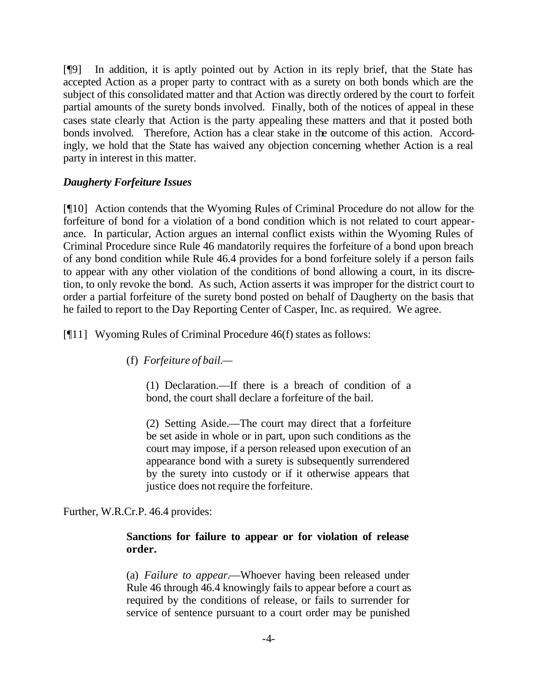[¶9] In addition, it is aptly pointed out by Action in its reply brief, that the State has accepted Action as a proper party to contract with as a surety on both bonds which are the subject of this consolidated matter and that Action was directly ordered by the court to forfeit partial amounts of the surety bonds involved. Finally, both of the notices of appeal in these cases state clearly that Action is the party appealing these matters and that it posted both bonds involved. Therefore, Action has a clear stake in the outcome of this action. Accordingly, we hold that the State has waived any objection concerning whether Action is a real party in interest in this matter.

## *Daugherty Forfeiture Issues*

[¶10] Action contends that the Wyoming Rules of Criminal Procedure do not allow for the forfeiture of bond for a violation of a bond condition which is not related to court appearance. In particular, Action argues an internal conflict exists within the Wyoming Rules of Criminal Procedure since Rule 46 mandatorily requires the forfeiture of a bond upon breach of any bond condition while Rule 46.4 provides for a bond forfeiture solely if a person fails to appear with any other violation of the conditions of bond allowing a court, in its discretion, to only revoke the bond. As such, Action asserts it was improper for the district court to order a partial forfeiture of the surety bond posted on behalf of Daugherty on the basis that he failed to report to the Day Reporting Center of Casper, Inc. as required. We agree.

[¶11] Wyoming Rules of Criminal Procedure 46(f) states as follows:

(f) *Forfeiture of bail.—*

(1) Declaration.—If there is a breach of condition of a bond, the court shall declare a forfeiture of the bail.

(2) Setting Aside.—The court may direct that a forfeiture be set aside in whole or in part, upon such conditions as the court may impose, if a person released upon execution of an appearance bond with a surety is subsequently surrendered by the surety into custody or if it otherwise appears that justice does not require the forfeiture.

Further, W.R.Cr.P. 46.4 provides:

## **Sanctions for failure to appear or for violation of release order.**

(a) *Failure to appear.*—Whoever having been released under Rule 46 through 46.4 knowingly fails to appear before a court as required by the conditions of release, or fails to surrender for service of sentence pursuant to a court order may be punished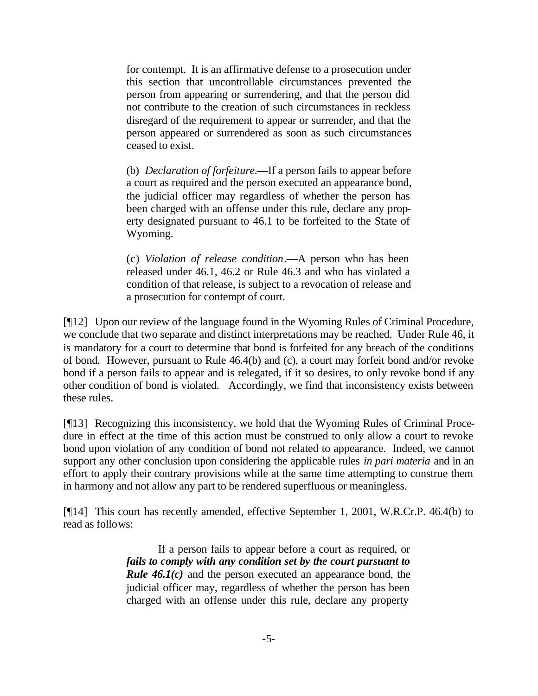for contempt. It is an affirmative defense to a prosecution under this section that uncontrollable circumstances prevented the person from appearing or surrendering, and that the person did not contribute to the creation of such circumstances in reckless disregard of the requirement to appear or surrender, and that the person appeared or surrendered as soon as such circumstances ceased to exist.

(b) *Declaration of forfeiture.*—If a person fails to appear before a court as required and the person executed an appearance bond, the judicial officer may regardless of whether the person has been charged with an offense under this rule, declare any property designated pursuant to 46.1 to be forfeited to the State of Wyoming.

(c) *Violation of release condition*.—A person who has been released under 46.1, 46.2 or Rule 46.3 and who has violated a condition of that release, is subject to a revocation of release and a prosecution for contempt of court.

[¶12] Upon our review of the language found in the Wyoming Rules of Criminal Procedure, we conclude that two separate and distinct interpretations may be reached. Under Rule 46, it is mandatory for a court to determine that bond is forfeited for any breach of the conditions of bond. However, pursuant to Rule 46.4(b) and (c), a court may forfeit bond and/or revoke bond if a person fails to appear and is relegated, if it so desires, to only revoke bond if any other condition of bond is violated. Accordingly, we find that inconsistency exists between these rules.

[¶13] Recognizing this inconsistency, we hold that the Wyoming Rules of Criminal Procedure in effect at the time of this action must be construed to only allow a court to revoke bond upon violation of any condition of bond not related to appearance. Indeed, we cannot support any other conclusion upon considering the applicable rules *in pari materia* and in an effort to apply their contrary provisions while at the same time attempting to construe them in harmony and not allow any part to be rendered superfluous or meaningless.

[¶14] This court has recently amended, effective September 1, 2001, W.R.Cr.P. 46.4(b) to read as follows:

> If a person fails to appear before a court as required, or *fails to comply with any condition set by the court pursuant to Rule 46.1(c)* and the person executed an appearance bond, the judicial officer may, regardless of whether the person has been charged with an offense under this rule, declare any property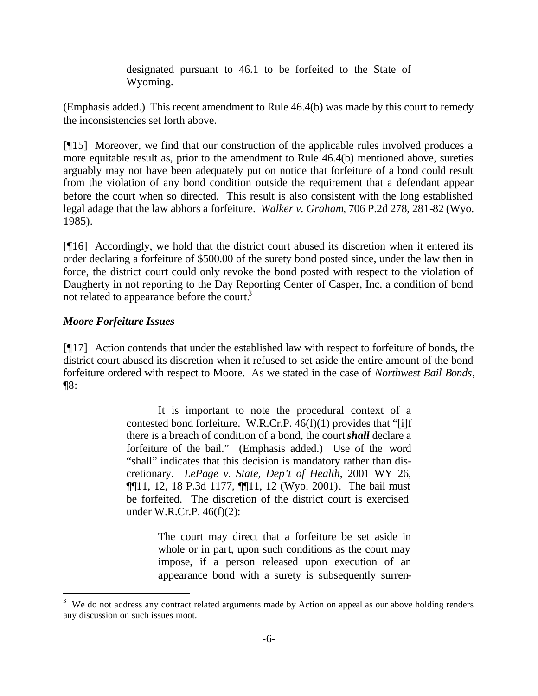designated pursuant to 46.1 to be forfeited to the State of Wyoming.

(Emphasis added.) This recent amendment to Rule 46.4(b) was made by this court to remedy the inconsistencies set forth above.

[¶15] Moreover, we find that our construction of the applicable rules involved produces a more equitable result as, prior to the amendment to Rule 46.4(b) mentioned above, sureties arguably may not have been adequately put on notice that forfeiture of a bond could result from the violation of any bond condition outside the requirement that a defendant appear before the court when so directed. This result is also consistent with the long established legal adage that the law abhors a forfeiture. *Walker v. Graham*, 706 P.2d 278, 281-82 (Wyo. 1985).

[¶16] Accordingly, we hold that the district court abused its discretion when it entered its order declaring a forfeiture of \$500.00 of the surety bond posted since, under the law then in force, the district court could only revoke the bond posted with respect to the violation of Daugherty in not reporting to the Day Reporting Center of Casper, Inc. a condition of bond not related to appearance before the court. $3$ 

# *Moore Forfeiture Issues*

l

[¶17] Action contends that under the established law with respect to forfeiture of bonds, the district court abused its discretion when it refused to set aside the entire amount of the bond forfeiture ordered with respect to Moore. As we stated in the case of *Northwest Bail Bonds*, ¶8:

> It is important to note the procedural context of a contested bond forfeiture. W.R.Cr.P. 46(f)(1) provides that "[i]f there is a breach of condition of a bond, the court *shall* declare a forfeiture of the bail." (Emphasis added.) Use of the word "shall" indicates that this decision is mandatory rather than discretionary. *LePage v. State, Dep't of Health*, 2001 WY 26, ¶¶11, 12, 18 P.3d 1177, ¶¶11, 12 (Wyo. 2001). The bail must be forfeited. The discretion of the district court is exercised under W.R.Cr.P. 46(f)(2):

> > The court may direct that a forfeiture be set aside in whole or in part, upon such conditions as the court may impose, if a person released upon execution of an appearance bond with a surety is subsequently surren-

<sup>3</sup> We do not address any contract related arguments made by Action on appeal as our above holding renders any discussion on such issues moot.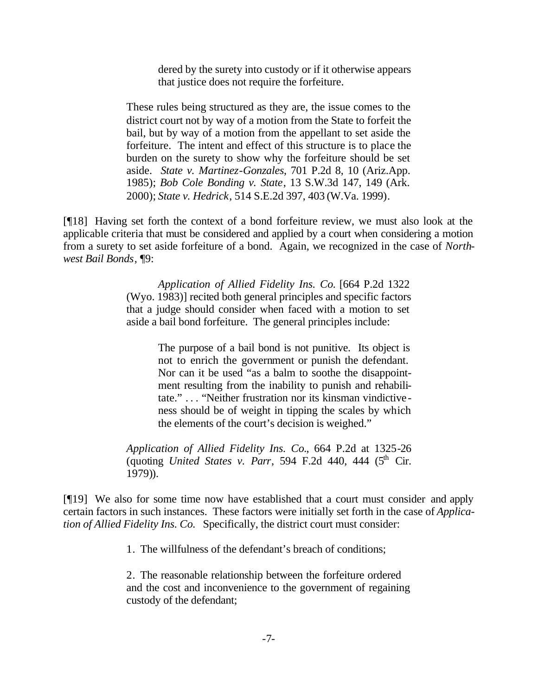dered by the surety into custody or if it otherwise appears that justice does not require the forfeiture.

These rules being structured as they are, the issue comes to the district court not by way of a motion from the State to forfeit the bail, but by way of a motion from the appellant to set aside the forfeiture. The intent and effect of this structure is to place the burden on the surety to show why the forfeiture should be set aside. *State v. Martinez-Gonzales*, 701 P.2d 8, 10 (Ariz.App. 1985); *Bob Cole Bonding v. State*, 13 S.W.3d 147, 149 (Ark. 2000); *State v. Hedrick*, 514 S.E.2d 397, 403 (W.Va. 1999).

[¶18] Having set forth the context of a bond forfeiture review, we must also look at the applicable criteria that must be considered and applied by a court when considering a motion from a surety to set aside forfeiture of a bond. Again, we recognized in the case of *Northwest Bail Bonds*, ¶9:

> *Application of Allied Fidelity Ins. Co.* [664 P.2d 1322 (Wyo. 1983)] recited both general principles and specific factors that a judge should consider when faced with a motion to set aside a bail bond forfeiture. The general principles include:

> > The purpose of a bail bond is not punitive. Its object is not to enrich the government or punish the defendant. Nor can it be used "as a balm to soothe the disappointment resulting from the inability to punish and rehabilitate." . . . "Neither frustration nor its kinsman vindictiveness should be of weight in tipping the scales by which the elements of the court's decision is weighed."

*Application of Allied Fidelity Ins. Co.*, 664 P.2d at 1325-26 (quoting *United States v. Parr*, 594 F.2d 440, 444  $(5<sup>th</sup>$  Cir. 1979)).

[¶19] We also for some time now have established that a court must consider and apply certain factors in such instances. These factors were initially set forth in the case of *Application of Allied Fidelity Ins. Co.* Specifically, the district court must consider:

1. The willfulness of the defendant's breach of conditions;

2. The reasonable relationship between the forfeiture ordered and the cost and inconvenience to the government of regaining custody of the defendant;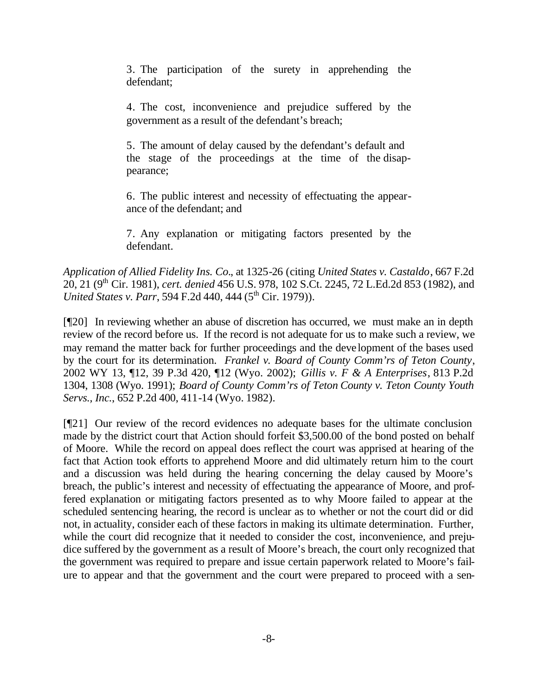3. The participation of the surety in apprehending the defendant;

4. The cost, inconvenience and prejudice suffered by the government as a result of the defendant's breach;

5. The amount of delay caused by the defendant's default and the stage of the proceedings at the time of the disappearance;

6. The public interest and necessity of effectuating the appearance of the defendant; and

7. Any explanation or mitigating factors presented by the defendant.

*Application of Allied Fidelity Ins. Co.*, at 1325-26 (citing *United States v. Castaldo*, 667 F.2d 20, 21 (9th Cir. 1981), *cert. denied* 456 U.S. 978, 102 S.Ct. 2245, 72 L.Ed.2d 853 (1982), and *United States v. Parr*, 594 F.2d 440, 444 (5<sup>th</sup> Cir. 1979)).

[¶20] In reviewing whether an abuse of discretion has occurred, we must make an in depth review of the record before us. If the record is not adequate for us to make such a review, we may remand the matter back for further proceedings and the development of the bases used by the court for its determination. *Frankel v. Board of County Comm'rs of Teton County*, 2002 WY 13, ¶12, 39 P.3d 420, ¶12 (Wyo. 2002); *Gillis v. F & A Enterprises*, 813 P.2d 1304, 1308 (Wyo. 1991); *Board of County Comm'rs of Teton County v. Teton County Youth Servs., Inc.*, 652 P.2d 400, 411-14 (Wyo. 1982).

[¶21] Our review of the record evidences no adequate bases for the ultimate conclusion made by the district court that Action should forfeit \$3,500.00 of the bond posted on behalf of Moore. While the record on appeal does reflect the court was apprised at hearing of the fact that Action took efforts to apprehend Moore and did ultimately return him to the court and a discussion was held during the hearing concerning the delay caused by Moore's breach, the public's interest and necessity of effectuating the appearance of Moore, and proffered explanation or mitigating factors presented as to why Moore failed to appear at the scheduled sentencing hearing, the record is unclear as to whether or not the court did or did not, in actuality, consider each of these factors in making its ultimate determination. Further, while the court did recognize that it needed to consider the cost, inconvenience, and prejudice suffered by the government as a result of Moore's breach, the court only recognized that the government was required to prepare and issue certain paperwork related to Moore's failure to appear and that the government and the court were prepared to proceed with a sen-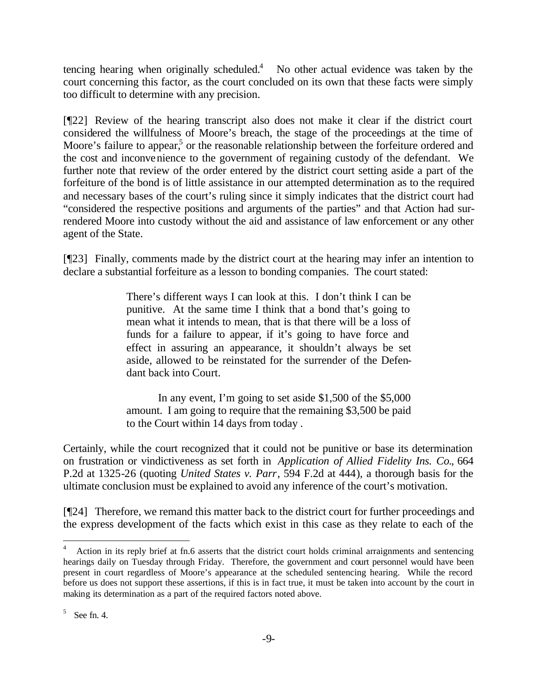tencing hearing when originally scheduled. $4$  No other actual evidence was taken by the court concerning this factor, as the court concluded on its own that these facts were simply too difficult to determine with any precision.

[¶22] Review of the hearing transcript also does not make it clear if the district court considered the willfulness of Moore's breach, the stage of the proceedings at the time of Moore's failure to appear,<sup>5</sup> or the reasonable relationship between the forfeiture ordered and the cost and inconvenience to the government of regaining custody of the defendant. We further note that review of the order entered by the district court setting aside a part of the forfeiture of the bond is of little assistance in our attempted determination as to the required and necessary bases of the court's ruling since it simply indicates that the district court had "considered the respective positions and arguments of the parties" and that Action had surrendered Moore into custody without the aid and assistance of law enforcement or any other agent of the State.

[¶23] Finally, comments made by the district court at the hearing may infer an intention to declare a substantial forfeiture as a lesson to bonding companies. The court stated:

> There's different ways I can look at this. I don't think I can be punitive. At the same time I think that a bond that's going to mean what it intends to mean, that is that there will be a loss of funds for a failure to appear, if it's going to have force and effect in assuring an appearance, it shouldn't always be set aside, allowed to be reinstated for the surrender of the Defendant back into Court.

> In any event, I'm going to set aside \$1,500 of the \$5,000 amount. I am going to require that the remaining \$3,500 be paid to the Court within 14 days from today .

Certainly, while the court recognized that it could not be punitive or base its determination on frustration or vindictiveness as set forth in *Application of Allied Fidelity Ins. Co.*, 664 P.2d at 1325-26 (quoting *United States v. Parr*, 594 F.2d at 444), a thorough basis for the ultimate conclusion must be explained to avoid any inference of the court's motivation.

[¶24] Therefore, we remand this matter back to the district court for further proceedings and the express development of the facts which exist in this case as they relate to each of the

l

<sup>4</sup> Action in its reply brief at fn.6 asserts that the district court holds criminal arraignments and sentencing hearings daily on Tuesday through Friday. Therefore, the government and court personnel would have been present in court regardless of Moore's appearance at the scheduled sentencing hearing. While the record before us does not support these assertions, if this is in fact true, it must be taken into account by the court in making its determination as a part of the required factors noted above.

<sup>5</sup> See fn. 4.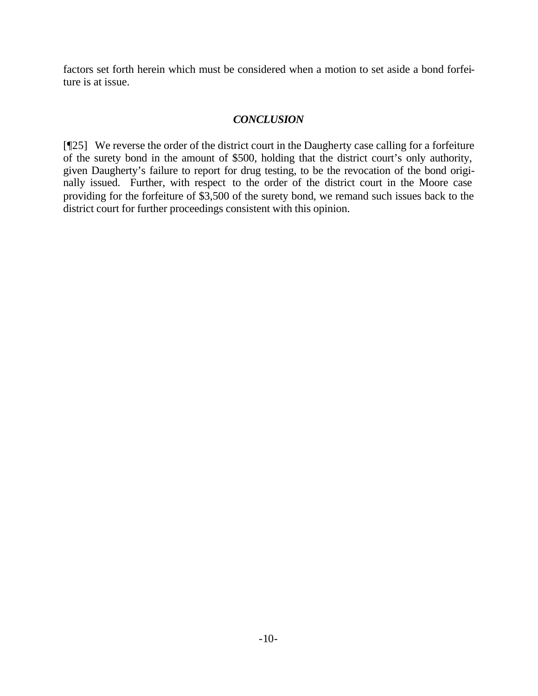factors set forth herein which must be considered when a motion to set aside a bond forfeiture is at issue.

# *CONCLUSION*

[¶25] We reverse the order of the district court in the Daugherty case calling for a forfeiture of the surety bond in the amount of \$500, holding that the district court's only authority, given Daugherty's failure to report for drug testing, to be the revocation of the bond originally issued. Further, with respect to the order of the district court in the Moore case providing for the forfeiture of \$3,500 of the surety bond, we remand such issues back to the district court for further proceedings consistent with this opinion.